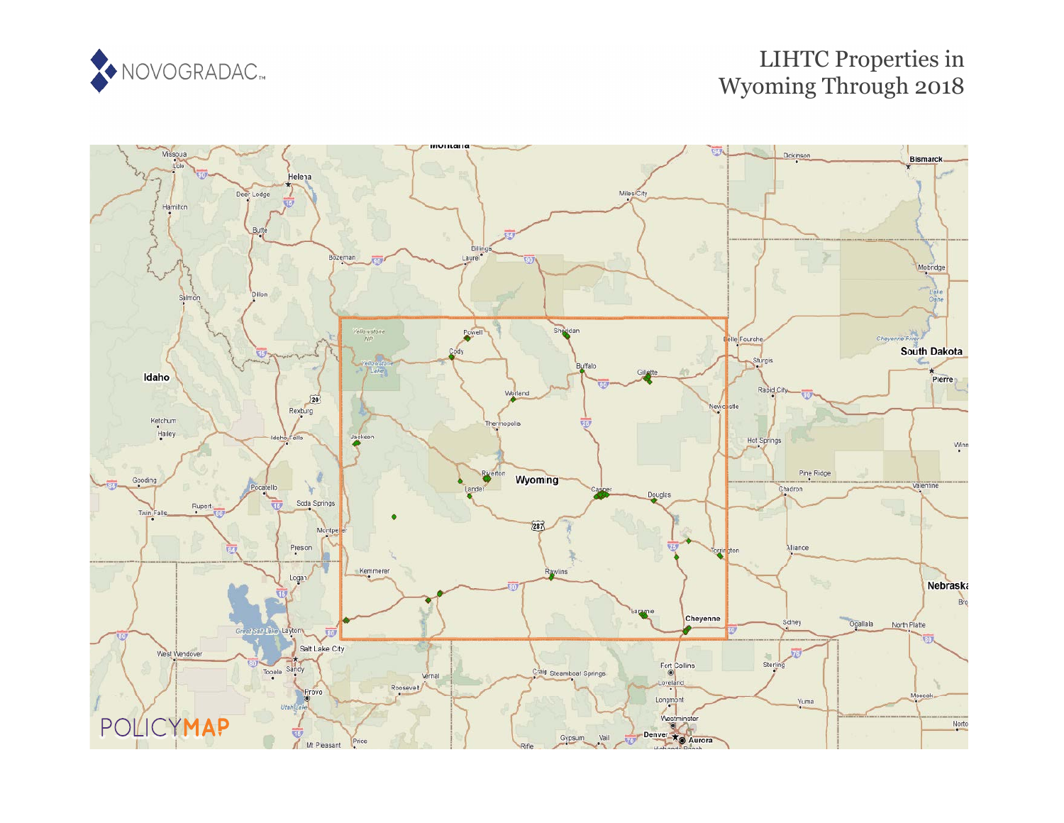

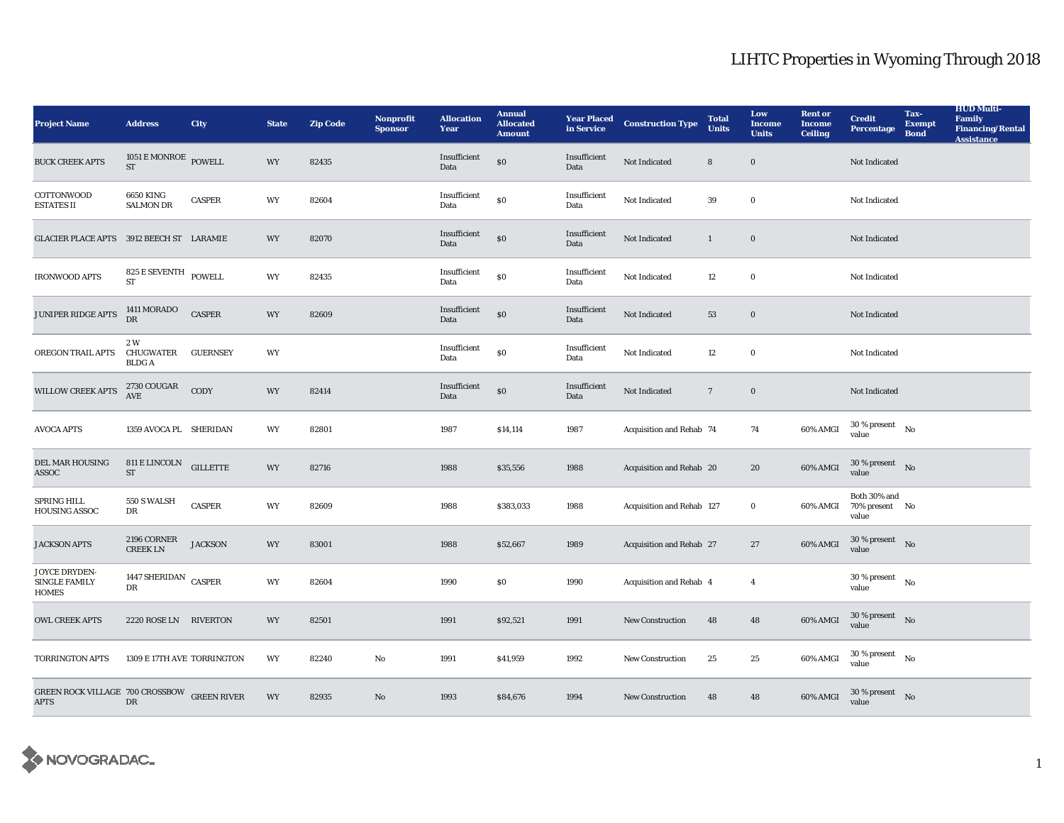| <b>Project Name</b>                                        | <b>Address</b>                                          | <b>City</b>     | <b>State</b> | <b>Zip Code</b> | <b>Nonprofit</b><br><b>Sponsor</b> | <b>Allocation</b><br>Year | <b>Annual</b><br><b>Allocated</b><br><b>Amount</b> | <b>Year Placed<br/>in Service</b> | <b>Construction Type</b>  | <b>Total</b><br><b>Units</b> | Low<br><b>Income</b><br><b>Units</b> | <b>Rent or</b><br><b>Income</b><br><b>Ceiling</b> | <b>Credit</b><br><b>Percentage</b>           | Tax-<br><b>Exempt</b><br><b>Bond</b> | <b>HUD Multi-</b><br><b>Family</b><br><b>Financing/Rental</b><br><b>Assistance</b> |
|------------------------------------------------------------|---------------------------------------------------------|-----------------|--------------|-----------------|------------------------------------|---------------------------|----------------------------------------------------|-----------------------------------|---------------------------|------------------------------|--------------------------------------|---------------------------------------------------|----------------------------------------------|--------------------------------------|------------------------------------------------------------------------------------|
| <b>BUCK CREEK APTS</b>                                     | $1051\,\mathrm{E}\,\mathrm{MONROE}$ POWELL<br><b>ST</b> |                 | WY           | 82435           |                                    | Insufficient<br>Data      | $\$0$                                              | Insufficient<br>Data              | Not Indicated             | ${\bf 8}$                    | $\boldsymbol{0}$                     |                                                   | Not Indicated                                |                                      |                                                                                    |
| COTTONWOOD<br><b>ESTATES II</b>                            | <b>6650 KING</b><br><b>SALMON DR</b>                    | <b>CASPER</b>   | WY           | 82604           |                                    | Insufficient<br>Data      | \$0                                                | Insufficient<br>Data              | Not Indicated             | 39                           | $\bf{0}$                             |                                                   | Not Indicated                                |                                      |                                                                                    |
| GLACIER PLACE APTS 3912 BEECH ST LARAMIE                   |                                                         |                 | WY           | 82070           |                                    | Insufficient<br>Data      | \$0                                                | Insufficient<br>Data              | Not Indicated             | $\mathbf{1}$                 | $\bf{0}$                             |                                                   | Not Indicated                                |                                      |                                                                                    |
| <b>IRONWOOD APTS</b>                                       | $825\to \hbox{SEVENTH}$ POWELL<br>ST                    |                 | WY           | 82435           |                                    | Insufficient<br>Data      | \$0                                                | Insufficient<br>Data              | Not Indicated             | 12                           | $\bf{0}$                             |                                                   | Not Indicated                                |                                      |                                                                                    |
| JUNIPER RIDGE APTS                                         | 1411 MORADO<br><b>DR</b>                                | <b>CASPER</b>   | WY           | 82609           |                                    | Insufficient<br>Data      | $\$0$                                              | Insufficient<br>Data              | Not Indicated             | 53                           | $\bf{0}$                             |                                                   | Not Indicated                                |                                      |                                                                                    |
| OREGON TRAIL APTS                                          | 2 W<br>CHUGWATER<br><b>BLDGA</b>                        | <b>GUERNSEY</b> | WY           |                 |                                    | Insufficient<br>Data      | \$0                                                | Insufficient<br>Data              | Not Indicated             | 12                           | $\bf{0}$                             |                                                   | Not Indicated                                |                                      |                                                                                    |
| WILLOW CREEK APTS                                          | 2730 COUGAR<br>AVE                                      | CODY            | WY           | 82414           |                                    | Insufficient<br>Data      | <sub>so</sub>                                      | Insufficient<br>Data              | Not Indicated             | $7\phantom{.0}$              | $\bf{0}$                             |                                                   | Not Indicated                                |                                      |                                                                                    |
| <b>AVOCA APTS</b>                                          | 1359 AVOCA PL SHERIDAN                                  |                 | WY           | 82801           |                                    | 1987                      | \$14,114                                           | 1987                              | Acquisition and Rehab 74  |                              | 74                                   | 60% AMGI                                          | $30$ % present $\hbox{~~No}$<br>value        |                                      |                                                                                    |
| DEL MAR HOUSING<br>ASSOC                                   | 811 E LINCOLN GILLETTE<br>ST                            |                 | <b>WY</b>    | 82716           |                                    | 1988                      | \$35,556                                           | 1988                              | Acquisition and Rehab 20  |                              | 20                                   | 60% AMGI                                          | $30\,\%$ present $\quad$ No $\quad$<br>value |                                      |                                                                                    |
| SPRING HILL<br><b>HOUSING ASSOC</b>                        | 550 S WALSH<br>DR                                       | <b>CASPER</b>   | WY           | 82609           |                                    | 1988                      | \$383,033                                          | 1988                              | Acquisition and Rehab 127 |                              | $\bf{0}$                             | 60% AMGI                                          | Both 30% and<br>70% present No<br>value      |                                      |                                                                                    |
| <b>JACKSON APTS</b>                                        | 2196 CORNER<br><b>CREEK LN</b>                          | <b>JACKSON</b>  | WY           | 83001           |                                    | 1988                      | \$52,667                                           | 1989                              | Acquisition and Rehab 27  |                              | $\sqrt{27}$                          | $60\%$ AMGI                                       | $30$ % present $\;\;$ No $\;$<br>value       |                                      |                                                                                    |
| JOYCE DRYDEN-<br><b>SINGLE FAMILY</b><br><b>HOMES</b>      | 1447 SHERIDAN CASPER<br>DR                              |                 | WY           | 82604           |                                    | 1990                      | $\$0$                                              | 1990                              | Acquisition and Rehab 4   |                              | $\overline{4}$                       |                                                   | $30$ % present $\hbox{~~No}$<br>value        |                                      |                                                                                    |
| <b>OWL CREEK APTS</b>                                      | 2220 ROSE LN RIVERTON                                   |                 | WY           | 82501           |                                    | 1991                      | \$92,521                                           | 1991                              | <b>New Construction</b>   | 48                           | 48                                   | 60% AMGI                                          | 30 % present $\text{No}$<br>value            |                                      |                                                                                    |
| <b>TORRINGTON APTS</b>                                     | 1309 E 17TH AVE TORRINGTON                              |                 | WY           | 82240           | $\rm No$                           | 1991                      | \$41,959                                           | 1992                              | <b>New Construction</b>   | 25                           | $25\,$                               | 60% AMGI                                          | $30$ % present $$\rm{No}$$<br>value          |                                      |                                                                                    |
| GREEN ROCK VILLAGE 700 CROSSBOW GREEN RIVER<br><b>APTS</b> | DR                                                      |                 | WY           | 82935           | No                                 | 1993                      | \$84,676                                           | 1994                              | <b>New Construction</b>   | 48                           | 48                                   | 60% AMGI                                          | $30$ % present $\;\;$ No $\;$<br>value       |                                      |                                                                                    |

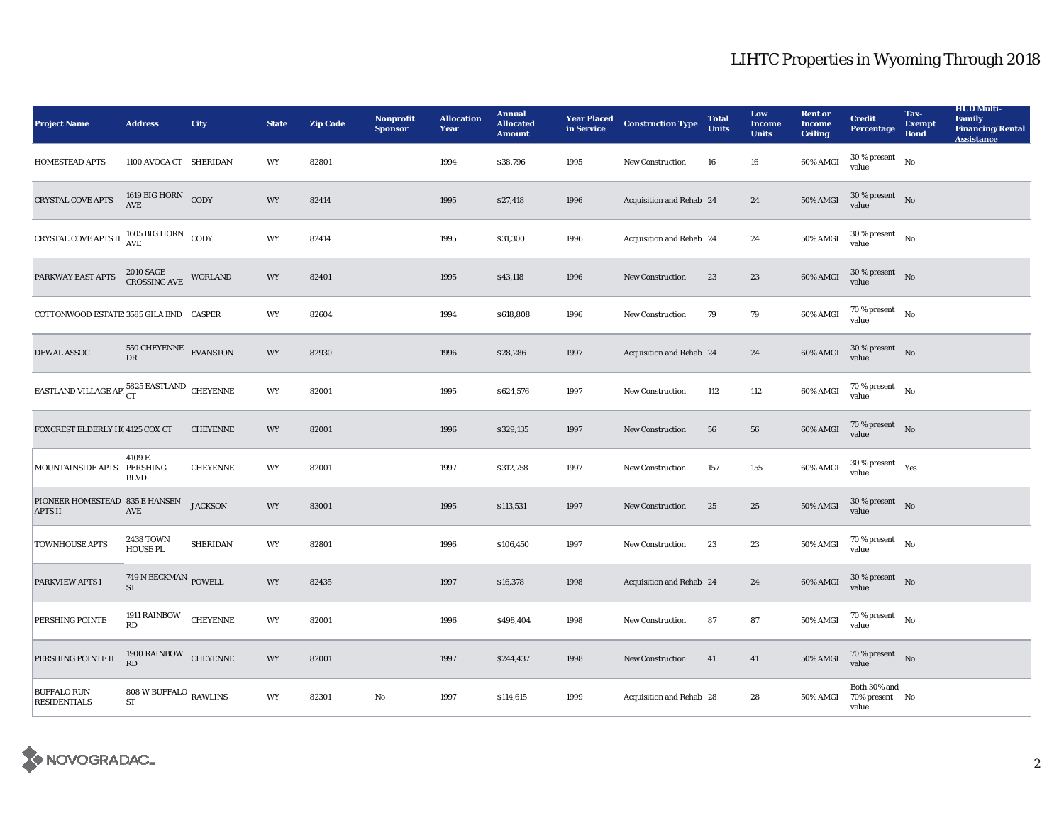| <b>Project Name</b>                                            | <b>Address</b>                                  | <b>City</b>     | <b>State</b> | <b>Zip Code</b> | <b>Nonprofit</b><br><b>Sponsor</b> | <b>Allocation</b><br>Year | <b>Annual</b><br><b>Allocated</b><br><b>Amount</b> |      | <b>Year Placed Construction Type</b><br>in Service <b>Construction</b> Type | <b>Total</b><br><b>Units</b> | Low<br><b>Income</b><br><b>Units</b> | <b>Rent or</b><br><b>Income</b><br><b>Ceiling</b> | <b>Credit</b><br>Percentage                | Tax-<br><b>Exempt</b><br><b>Bond</b> | <b>HUD Multi-</b><br><b>Family</b><br><b>Financing/Rental</b><br><b>Assistance</b> |
|----------------------------------------------------------------|-------------------------------------------------|-----------------|--------------|-----------------|------------------------------------|---------------------------|----------------------------------------------------|------|-----------------------------------------------------------------------------|------------------------------|--------------------------------------|---------------------------------------------------|--------------------------------------------|--------------------------------------|------------------------------------------------------------------------------------|
| HOMESTEAD APTS                                                 | 1100 AVOCA CT SHERIDAN                          |                 | WY           | 82801           |                                    | 1994                      | \$38,796                                           | 1995 | New Construction                                                            | 16                           | ${\bf 16}$                           | 60% AMGI                                          | 30 % present<br>value                      | No                                   |                                                                                    |
| <b>CRYSTAL COVE APTS</b>                                       | $1619$ BIG HORN $\rm CODY$                      |                 | <b>WY</b>    | 82414           |                                    | 1995                      | \$27,418                                           | 1996 | Acquisition and Rehab 24                                                    |                              | 24                                   | 50% AMGI                                          | $30$ % present $\quad$ No $\quad$<br>value |                                      |                                                                                    |
| CRYSTAL COVE APTS II $^{1605\, {\rm BIG}}_{\rm AVE}$ HORN CODY |                                                 |                 | WY           | 82414           |                                    | 1995                      | \$31,300                                           | 1996 | Acquisition and Rehab 24                                                    |                              | 24                                   | $50\%$ AMGI                                       | $30$ % present $\quad$ No $\quad$<br>value |                                      |                                                                                    |
| PARKWAY EAST APTS                                              | 2010 SAGE<br>CROSSING AVE                       | WORLAND         | WY           | 82401           |                                    | 1995                      | \$43,118                                           | 1996 | <b>New Construction</b>                                                     | 23                           | 23                                   | 60% AMGI                                          | $30\,\%$ present $$\rm{No}$$ value         |                                      |                                                                                    |
| COTTONWOOD ESTATE: 3585 GILA BND CASPER                        |                                                 |                 | WY           | 82604           |                                    | 1994                      | \$618,808                                          | 1996 | <b>New Construction</b>                                                     | 79                           | 79                                   | 60% AMGI                                          | 70 % present $\qquad N$ o<br>value         |                                      |                                                                                    |
| <b>DEWAL ASSOC</b>                                             | $550 \, {\rm CHEYENNE} \quad {\rm EVANSTON}$ DR |                 | WY           | 82930           |                                    | 1996                      | \$28,286                                           | 1997 | Acquisition and Rehab 24                                                    |                              | 24                                   | 60% AMGI                                          | $30\,\%$ present $$\rm{No}$$ value         |                                      |                                                                                    |
| EASTLAND VILLAGE AP' $_{\rm CT}^{5825}$ EASTLAND CHEYENNE      |                                                 |                 | WY           | 82001           |                                    | 1995                      | \$624,576                                          | 1997 | New Construction                                                            | 112                          | 112                                  | 60% AMGI                                          | $70\,\%$ present $$$ No value              |                                      |                                                                                    |
| FOXCREST ELDERLY H(4125 COX CT                                 |                                                 | <b>CHEYENNE</b> | <b>WY</b>    | 82001           |                                    | 1996                      | \$329,135                                          | 1997 | <b>New Construction</b>                                                     | 56                           | 56                                   | 60% AMGI                                          | 70 % present $N$ o<br>value                |                                      |                                                                                    |
| MOUNTAINSIDE APTS PERSHING                                     | 4109 E<br><b>BLVD</b>                           | <b>CHEYENNE</b> | WY           | 82001           |                                    | 1997                      | \$312,758                                          | 1997 | <b>New Construction</b>                                                     | 157                          | 155                                  | 60% AMGI                                          | $30\,\%$ present $\quad$ Yes value         |                                      |                                                                                    |
| PIONEER HOMESTEAD 835 E HANSEN<br><b>APTS II</b>               | $\operatorname{AVE}$                            | <b>JACKSON</b>  | WY           | 83001           |                                    | 1995                      | \$113,531                                          | 1997 | <b>New Construction</b>                                                     | 25                           | 25                                   | $50\%$ AMGI                                       | $30\,\%$ present $$$ No value              |                                      |                                                                                    |
| <b>TOWNHOUSE APTS</b>                                          | <b>2438 TOWN</b><br><b>HOUSE PL</b>             | <b>SHERIDAN</b> | WY           | 82801           |                                    | 1996                      | \$106,450                                          | 1997 | <b>New Construction</b>                                                     | 23                           | 23                                   | <b>50% AMGI</b>                                   | 70 % present $$_{\rm No}$$<br>value        |                                      |                                                                                    |
| PARKVIEW APTS I                                                | $749$ N BECKMAN $_{\rm{POWELL}}$<br><b>ST</b>   |                 | WY           | 82435           |                                    | 1997                      | \$16,378                                           | 1998 | Acquisition and Rehab 24                                                    |                              | 24                                   | 60% AMGI                                          | $30\,\%$ present $$\rm{No}$$ value         |                                      |                                                                                    |
| PERSHING POINTE                                                | 1911 RAINBOW CHEYENNE<br>RD                     |                 | WY           | 82001           |                                    | 1996                      | \$498,404                                          | 1998 | New Construction                                                            | 87                           | ${\bf 87}$                           | 50% AMGI                                          | 70 % present $$\rm{No}$$<br>value          |                                      |                                                                                    |
| PERSHING POINTE II                                             | 1900 RAINBOW CHEYENNE<br>RD                     |                 | WY           | 82001           |                                    | 1997                      | \$244,437                                          | 1998 | <b>New Construction</b>                                                     | 41                           | 41                                   | <b>50% AMGI</b>                                   | 70 % present $\hbox{No}$<br>value          |                                      |                                                                                    |
| <b>BUFFALO RUN</b><br><b>RESIDENTIALS</b>                      | 808 W BUFFALO $_{\rm RAWLINS}$<br><b>ST</b>     |                 | WY           | 82301           | No                                 | 1997                      | \$114,615                                          | 1999 | Acquisition and Rehab 28                                                    |                              | 28                                   | 50% AMGI                                          | Both 30% and<br>70% present No<br>value    |                                      |                                                                                    |

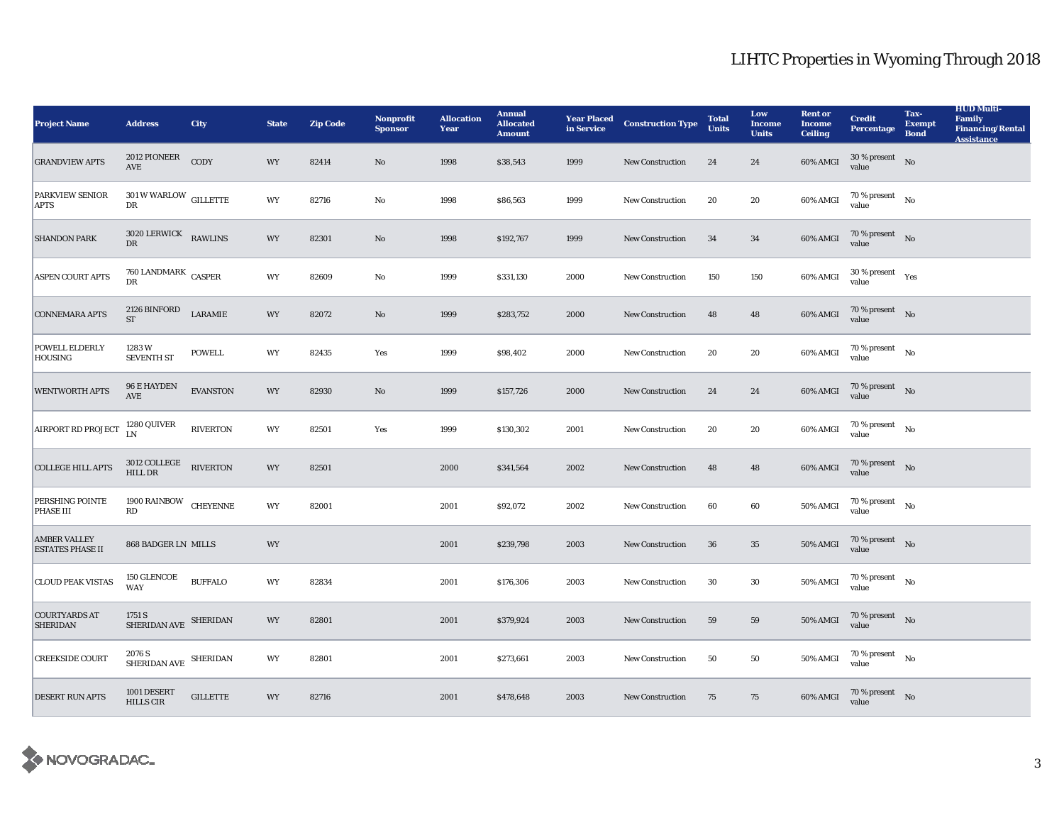| <b>Project Name</b>                            | <b>Address</b>                           | City            | <b>State</b> | <b>Zip Code</b> | <b>Nonprofit</b><br><b>Sponsor</b> | <b>Allocation</b><br>Year | <b>Annual</b><br><b>Allocated</b><br><b>Amount</b> | <b>Year Placed<br/>in Service</b> | <b>Construction Type</b> | <b>Total</b><br><b>Units</b> | Low<br><b>Income</b><br><b>Units</b> | <b>Rent or</b><br><b>Income</b><br><b>Ceiling</b> | <b>Credit</b><br>Percentage           | Tax-<br><b>Exempt</b><br><b>Bond</b> | <b>HUD Multi-</b><br><b>Family</b><br><b>Financing/Rental</b><br><b>Assistance</b> |
|------------------------------------------------|------------------------------------------|-----------------|--------------|-----------------|------------------------------------|---------------------------|----------------------------------------------------|-----------------------------------|--------------------------|------------------------------|--------------------------------------|---------------------------------------------------|---------------------------------------|--------------------------------------|------------------------------------------------------------------------------------|
| <b>GRANDVIEW APTS</b>                          | $2012$ PIONEER<br>AVE                    | CODY            | WY           | 82414           | $\rm No$                           | 1998                      | \$38,543                                           | 1999                              | New Construction         | 24                           | 24                                   | 60% AMGI                                          | $30$ % present $\hbox{~No}$<br>value  |                                      |                                                                                    |
| <b>PARKVIEW SENIOR</b><br><b>APTS</b>          | $301\,\mathrm{W\,WARLOW}$ GILLETTE<br>DR |                 | WY           | 82716           | No                                 | 1998                      | \$86,563                                           | 1999                              | <b>New Construction</b>  | 20                           | 20                                   | 60% AMGI                                          | 70 % present $\qquad$ No<br>value     |                                      |                                                                                    |
| <b>SHANDON PARK</b>                            | 3020 LERWICK RAWLINS<br>DR               |                 | WY           | 82301           | No                                 | 1998                      | \$192,767                                          | 1999                              | <b>New Construction</b>  | 34                           | 34                                   | 60% AMGI                                          | 70 % present $\quad N$ o<br>value     |                                      |                                                                                    |
| <b>ASPEN COURT APTS</b>                        | 760 LANDMARK CASPER<br>DR                |                 | WY           | 82609           | No                                 | 1999                      | \$331,130                                          | 2000                              | <b>New Construction</b>  | 150                          | 150                                  | 60% AMGI                                          | $30\,\%$ present $\quad$ Yes<br>value |                                      |                                                                                    |
| <b>CONNEMARA APTS</b>                          | 2126 BINFORD<br><b>ST</b>                | LARAMIE         | WY           | 82072           | No                                 | 1999                      | \$283,752                                          | 2000                              | <b>New Construction</b>  | 48                           | 48                                   | 60% AMGI                                          | 70 % present $\hbox{No}$<br>value     |                                      |                                                                                    |
| <b>POWELL ELDERLY</b><br>HOUSING               | 1283W<br><b>SEVENTH ST</b>               | <b>POWELL</b>   | WY           | 82435           | Yes                                | 1999                      | \$98,402                                           | 2000                              | <b>New Construction</b>  | 20                           | 20                                   | 60% AMGI                                          | 70 % present $$N{\rm o}$$<br>value    |                                      |                                                                                    |
| <b>WENTWORTH APTS</b>                          | 96 E HAYDEN<br>$\operatorname{AVE}$      | <b>EVANSTON</b> | WY           | 82930           | No                                 | 1999                      | \$157,726                                          | 2000                              | <b>New Construction</b>  | 24                           | 24                                   | 60% AMGI                                          | 70 % present $\quad$ No<br>value      |                                      |                                                                                    |
| AIRPORT RD PROJECT                             | 1280 QUIVER<br>IN                        | <b>RIVERTON</b> | <b>WY</b>    | 82501           | Yes                                | 1999                      | \$130,302                                          | 2001                              | <b>New Construction</b>  | 20                           | 20                                   | 60% AMGI                                          | 70 % present $\qquad N$ o<br>value    |                                      |                                                                                    |
| <b>COLLEGE HILL APTS</b>                       | $3012$ COLLEGE RIVERTON HILL DR          |                 | WY           | 82501           |                                    | 2000                      | \$341,564                                          | 2002                              | <b>New Construction</b>  | 48                           | 48                                   | 60% AMGI                                          | $70\,\%$ present $$\rm{No}$$ value    |                                      |                                                                                    |
| PERSHING POINTE<br>PHASE III                   | 1900 RAINBOW CHEYENNE<br>RD              |                 | WY           | 82001           |                                    | 2001                      | \$92,072                                           | 2002                              | <b>New Construction</b>  | 60                           | 60                                   | <b>50% AMGI</b>                                   | 70 % present $$N{\rm o}$$<br>value    |                                      |                                                                                    |
| <b>AMBER VALLEY</b><br><b>ESTATES PHASE II</b> | 868 BADGER LN MILLS                      |                 | WY           |                 |                                    | 2001                      | \$239,798                                          | 2003                              | New Construction         | $36\,$                       | $\bf 35$                             | 50% AMGI                                          | $70\%$ present No<br>value            |                                      |                                                                                    |
| <b>CLOUD PEAK VISTAS</b>                       | 150 GLENCOE<br><b>WAY</b>                | <b>BUFFALO</b>  | WY           | 82834           |                                    | 2001                      | \$176,306                                          | 2003                              | <b>New Construction</b>  | 30                           | $30\,$                               | 50% AMGI                                          | $70\,\%$ present $$$ No value         |                                      |                                                                                    |
| <b>COURTYARDS AT</b><br><b>SHERIDAN</b>        | 1751 S<br>SHERIDAN AVE SHERIDAN          |                 | WY           | 82801           |                                    | 2001                      | \$379,924                                          | 2003                              | <b>New Construction</b>  | 59                           | 59                                   | <b>50% AMGI</b>                                   | 70 % present No<br>value              |                                      |                                                                                    |
| <b>CREEKSIDE COURT</b>                         | 2076 S<br>SHERIDAN AVE SHERIDAN          |                 | WY           | 82801           |                                    | 2001                      | \$273,661                                          | 2003                              | New Construction         | 50                           | 50                                   | 50% AMGI                                          | 70 % present $\qquad N$ o<br>value    |                                      |                                                                                    |
| <b>DESERT RUN APTS</b>                         | 1001 DESERT<br><b>HILLS CIR</b>          | <b>GILLETTE</b> | WY           | 82716           |                                    | 2001                      | \$478,648                                          | 2003                              | <b>New Construction</b>  | 75                           | 75                                   | 60% AMGI                                          | $70\,\%$ present $$$ No value         |                                      |                                                                                    |

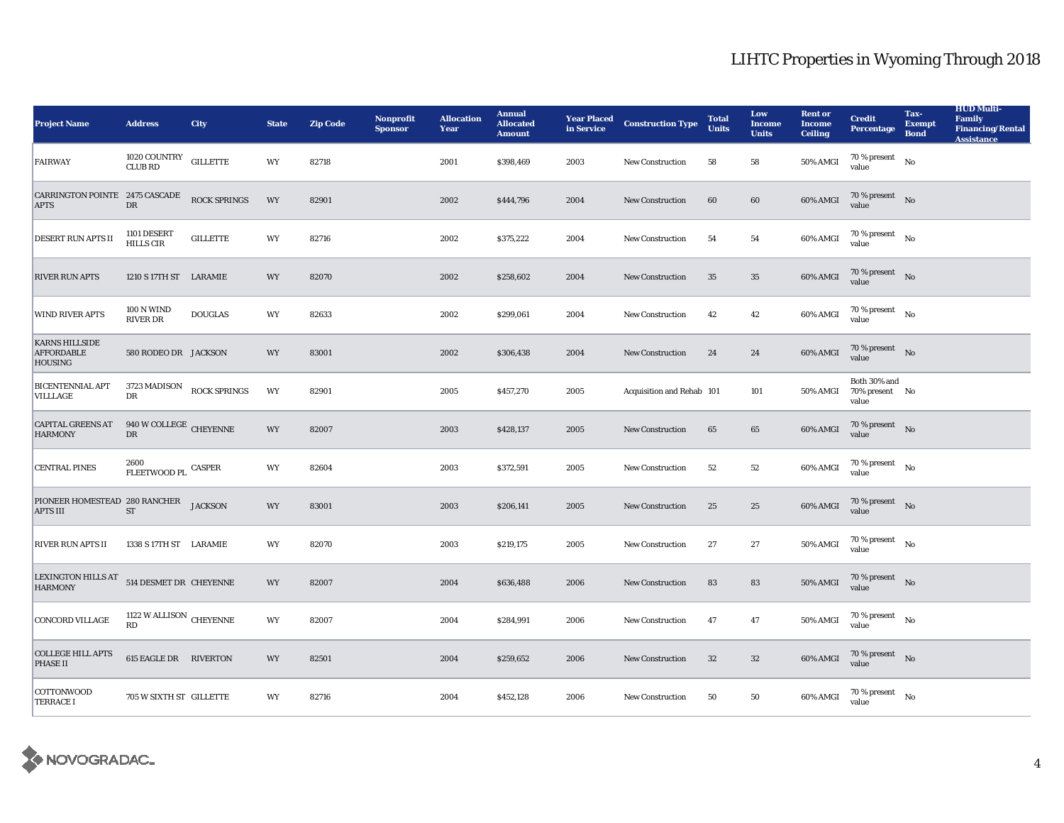| <b>Project Name</b>                                         | <b>Address</b>                          | <b>City</b>                         | <b>State</b> | <b>Zip Code</b> | <b>Nonprofit</b><br><b>Sponsor</b> | <b>Allocation</b><br>Year | <b>Annual</b><br><b>Allocated</b><br><b>Amount</b> | <b>Year Placed<br/>in Service</b> | <b>Construction Type</b>  | <b>Total</b><br><b>Units</b> | Low<br><b>Income</b><br><b>Units</b> | <b>Rent or</b><br><b>Income</b><br><b>Ceiling</b> | <b>Credit</b><br><b>Percentage</b>               | Tax-<br><b>Exempt</b><br><b>Bond</b> | <b>HUD Multi-</b><br><b>Family</b><br><b>Financing/Rental</b><br><b>Assistance</b> |
|-------------------------------------------------------------|-----------------------------------------|-------------------------------------|--------------|-----------------|------------------------------------|---------------------------|----------------------------------------------------|-----------------------------------|---------------------------|------------------------------|--------------------------------------|---------------------------------------------------|--------------------------------------------------|--------------------------------------|------------------------------------------------------------------------------------|
| FAIRWAY                                                     | $1020\,{\rm COUNTRY}$<br><b>CLUB RD</b> | <b>GILLETTE</b>                     | WY           | 82718           |                                    | 2001                      | \$398,469                                          | 2003                              | <b>New Construction</b>   | 58                           | 58                                   | <b>50% AMGI</b>                                   | $70$ % present<br>value                          | No                                   |                                                                                    |
| <b>CARRINGTON POINTE 2475 CASCADE</b><br><b>APTS</b>        | $_{\rm DR}$                             | <b>ROCK SPRINGS</b>                 | WY           | 82901           |                                    | 2002                      | \$444,796                                          | 2004                              | <b>New Construction</b>   | 60                           | 60                                   | 60% AMGI                                          | 70 % present $N$ o<br>value                      |                                      |                                                                                    |
| DESERT RUN APTS II                                          | 1101 DESERT<br><b>HILLS CIR</b>         | <b>GILLETTE</b>                     | WY           | 82716           |                                    | 2002                      | \$375,222                                          | 2004                              | New Construction          | 54                           | 54                                   | 60% AMGI                                          | $70$ % present $\quad$ No $\quad$<br>value       |                                      |                                                                                    |
| <b>RIVER RUN APTS</b>                                       | 1210 S 17TH ST LARAMIE                  |                                     | WY           | 82070           |                                    | 2002                      | \$258,602                                          | 2004                              | <b>New Construction</b>   | 35                           | 35                                   | 60% AMGI                                          | 70 % present $\quad N$ o<br>value                |                                      |                                                                                    |
| <b>WIND RIVER APTS</b>                                      | 100 N WIND<br><b>RIVER DR</b>           | <b>DOUGLAS</b>                      | WY           | 82633           |                                    | 2002                      | \$299,061                                          | 2004                              | <b>New Construction</b>   | 42                           | 42                                   | 60% AMGI                                          | 70 % present $\qquad N$ o<br>value               |                                      |                                                                                    |
| <b>KARNS HILLSIDE</b><br><b>AFFORDABLE</b><br>HOUSING       | 580 RODEO DR JACKSON                    |                                     | WY           | 83001           |                                    | 2002                      | \$306,438                                          | 2004                              | <b>New Construction</b>   | 24                           | 24                                   | 60% AMGI                                          | $70\,\%$ present $$\rm{No}$$ value               |                                      |                                                                                    |
| <b>BICENTENNIAL APT</b><br><b>VILLLAGE</b>                  | DR                                      | $3723\,\mbox{MADISON}$ ROCK SPRINGS | WY           | 82901           |                                    | 2005                      | \$457,270                                          | 2005                              | Acquisition and Rehab 101 |                              | 101                                  |                                                   | Both 30% and<br>50% AMGI 70% present No<br>value |                                      |                                                                                    |
| <b>CAPITAL GREENS AT</b><br><b>HARMONY</b>                  | $940$ W COLLEGE $\,$ CHEYENNE<br>DR     |                                     | <b>WY</b>    | 82007           |                                    | 2003                      | \$428,137                                          | 2005                              | <b>New Construction</b>   | 65                           | 65                                   | 60% AMGI                                          | 70 % present $\quad$ No<br>value                 |                                      |                                                                                    |
| <b>CENTRAL PINES</b>                                        | 2600<br>FLEETWOOD PL CASPER             |                                     | WY           | 82604           |                                    | 2003                      | \$372,591                                          | 2005                              | <b>New Construction</b>   | 52                           | 52                                   | 60% AMGI                                          | $70$ % present $$N{\rm o}$$<br>value             |                                      |                                                                                    |
| PIONEER HOMESTEAD 280 RANCHER JACKSON<br><b>APTS III</b>    | $\operatorname{ST}$                     |                                     | <b>WY</b>    | 83001           |                                    | 2003                      | \$206,141                                          | 2005                              | <b>New Construction</b>   | 25                           | 25                                   | 60% AMGI                                          | $70$ % present $\;\;$ No $\;$<br>value           |                                      |                                                                                    |
| <b>RIVER RUN APTS II</b>                                    | 1338 S 17TH ST LARAMIE                  |                                     | WY           | 82070           |                                    | 2003                      | \$219,175                                          | 2005                              | <b>New Construction</b>   | 27                           | 27                                   | 50% AMGI                                          | 70 % present $\qquad N$ o<br>value               |                                      |                                                                                    |
| LEXINGTON HILLS AT 514 DESMET DR CHEYENNE<br><b>HARMONY</b> |                                         |                                     | WY           | 82007           |                                    | 2004                      | \$636,488                                          | 2006                              | <b>New Construction</b>   | 83                           | 83                                   | 50% AMGI                                          | 70 % present $\;$ No $\;$<br>value               |                                      |                                                                                    |
| CONCORD VILLAGE                                             | 1122 W ALLISON CHEYENNE<br>RD           |                                     | WY           | 82007           |                                    | 2004                      | \$284,991                                          | 2006                              | <b>New Construction</b>   | 47                           | 47                                   | 50% AMGI                                          | $70$ % present $_{\rm No}$<br>value              |                                      |                                                                                    |
| <b>COLLEGE HILL APTS</b><br><b>PHASE II</b>                 | <b>615 EAGLE DR RIVERTON</b>            |                                     | WY           | 82501           |                                    | 2004                      | \$259,652                                          | 2006                              | <b>New Construction</b>   | 32                           | $32\,$                               | 60% AMGI                                          | 70 % present $\hbox{No}$<br>value                |                                      |                                                                                    |
| COTTONWOOD<br><b>TERRACE I</b>                              | 705 W SIXTH ST GILLETTE                 |                                     | WY           | 82716           |                                    | 2004                      | \$452,128                                          | 2006                              | <b>New Construction</b>   | 50                           | 50                                   | 60% AMGI                                          | $70$ % present $$\rm{No}$$<br>value              |                                      |                                                                                    |

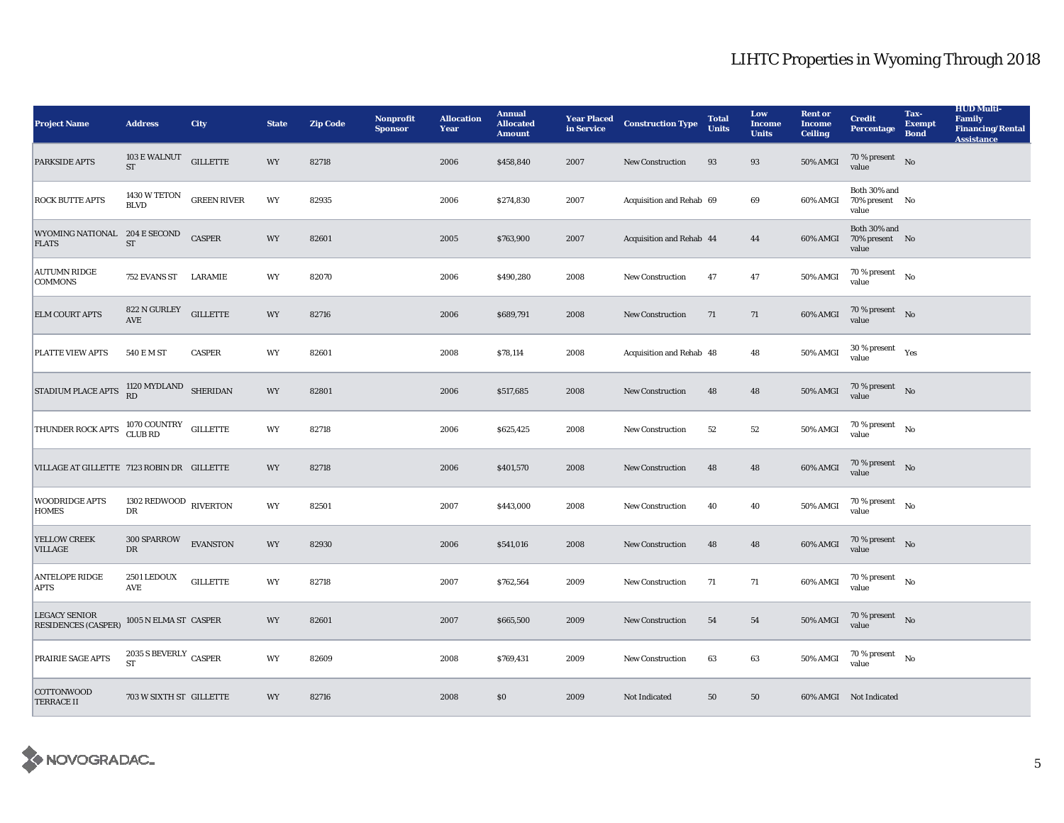| <b>Project Name</b>                                | <b>Address</b>                          | <b>City</b>     | <b>State</b> | <b>Zip Code</b> | <b>Nonprofit</b><br><b>Sponsor</b> | <b>Allocation</b><br>Year | <b>Annual</b><br><b>Allocated</b><br><b>Amount</b> | <b>Year Placed<br/>in Service</b> | <b>Construction Type</b> | <b>Total</b><br><b>Units</b> | Low<br><b>Income</b><br><b>Units</b> | <b>Rent or</b><br><b>Income</b><br><b>Ceiling</b> | <b>Credit</b><br><b>Percentage</b>               | Tax-<br><b>Exempt</b><br><b>Bond</b> | <b>HUD Multi-</b><br><b>Family</b><br><b>Financing/Rental</b><br><b>Assistance</b> |
|----------------------------------------------------|-----------------------------------------|-----------------|--------------|-----------------|------------------------------------|---------------------------|----------------------------------------------------|-----------------------------------|--------------------------|------------------------------|--------------------------------------|---------------------------------------------------|--------------------------------------------------|--------------------------------------|------------------------------------------------------------------------------------|
| PARKSIDE APTS                                      | 103 E WALNUT<br><b>ST</b>               | <b>GILLETTE</b> | WY           | 82718           |                                    | 2006                      | \$458,840                                          | 2007                              | New Construction         | 93                           | $\bf 93$                             | $50\%$ AMGI                                       | 70 % present $\qquad$ No<br>value                |                                      |                                                                                    |
| <b>ROCK BUTTE APTS</b>                             | 1430 W TETON GREEN RIVER<br><b>BLVD</b> |                 | WY           | 82935           |                                    | 2006                      | \$274,830                                          | 2007                              | Acquisition and Rehab 69 |                              | 69                                   | 60% AMGI                                          | Both 30% and<br>70% present No<br>value          |                                      |                                                                                    |
| WYOMING NATIONAL 204 E SECOND<br><b>FLATS</b>      | $\operatorname{ST}$                     | <b>CASPER</b>   | WY           | 82601           |                                    | 2005                      | \$763,900                                          | 2007                              | Acquisition and Rehab 44 |                              | 44                                   |                                                   | Both 30% and<br>60% AMGI 70% present No<br>value |                                      |                                                                                    |
| <b>AUTUMN RIDGE</b><br><b>COMMONS</b>              | 752 EVANS ST LARAMIE                    |                 | WY           | 82070           |                                    | 2006                      | \$490,280                                          | 2008                              | New Construction         | 47                           | 47                                   | 50% AMGI                                          | $70$ % present $\quad$ No $\quad$<br>value       |                                      |                                                                                    |
| <b>ELM COURT APTS</b>                              | 822 N GURLEY<br><b>AVE</b>              | <b>GILLETTE</b> | WY           | 82716           |                                    | 2006                      | \$689,791                                          | 2008                              | <b>New Construction</b>  | 71                           | 71                                   | 60% AMGI                                          | 70 % present $\hbox{No}$<br>value                |                                      |                                                                                    |
| <b>PLATTE VIEW APTS</b>                            | 540 E M ST                              | <b>CASPER</b>   | WY           | 82601           |                                    | 2008                      | \$78,114                                           | 2008                              | Acquisition and Rehab 48 |                              | 48                                   | 50% AMGI                                          | $30\,\%$ present $\quad$ Yes value               |                                      |                                                                                    |
| STADIUM PLACE APTS                                 | $1120$ MYDLAND SHERIDAN RD              |                 | WY           | 82801           |                                    | 2006                      | \$517,685                                          | 2008                              | <b>New Construction</b>  | 48                           | 48                                   | 50% AMGI                                          | $70\,\%$ present $$\rm{No}$$ value               |                                      |                                                                                    |
| THUNDER ROCK APTS                                  | 1070 COUNTRY GILLETTE<br>CLUB RD        |                 | WY           | 82718           |                                    | 2006                      | \$625,425                                          | 2008                              | <b>New Construction</b>  | 52                           | 52                                   | 50% AMGI                                          | $70$ % present $\quad$ No $\quad$<br>value       |                                      |                                                                                    |
| VILLAGE AT GILLETTE 7123 ROBIN DR GILLETTE         |                                         |                 | WY           | 82718           |                                    | 2006                      | \$401,570                                          | 2008                              | <b>New Construction</b>  | 48                           | 48                                   | 60% AMGI                                          | $70\,\%$ present $$\rm{No}$$ value               |                                      |                                                                                    |
| <b>WOODRIDGE APTS</b><br><b>HOMES</b>              | 1302 REDWOOD RIVERTON<br>DR             |                 | WY           | 82501           |                                    | 2007                      | \$443,000                                          | 2008                              | <b>New Construction</b>  | 40                           | 40                                   | 50% AMGI                                          | $70$ % present $\quad$ No $\quad$<br>value       |                                      |                                                                                    |
| YELLOW CREEK<br><b>VILLAGE</b>                     | 300 SPARROW<br><b>DR</b>                | <b>EVANSTON</b> | WY           | 82930           |                                    | 2006                      | \$541,016                                          | 2008                              | <b>New Construction</b>  | 48                           | 48                                   | 60% AMGI                                          | $70$ % present $\;\;$ No $\;$<br>value           |                                      |                                                                                    |
| <b>ANTELOPE RIDGE</b><br><b>APTS</b>               | 2501 LEDOUX<br>AVE                      | <b>GILLETTE</b> | WY           | 82718           |                                    | 2007                      | \$762,564                                          | 2009                              | <b>New Construction</b>  | 71                           | 71                                   | 60% AMGI                                          | $70\,\%$ present $$$ No value                    |                                      |                                                                                    |
| <b>LEGACY SENIOR</b><br><b>RESIDENCES (CASPER)</b> | 1005 N ELMA ST CASPER                   |                 | WY           | 82601           |                                    | 2007                      | \$665,500                                          | 2009                              | <b>New Construction</b>  | 54                           | 54                                   | $50\%$ AMGI                                       | $70\,\%$ present $$$ No value                    |                                      |                                                                                    |
| PRAIRIE SAGE APTS                                  | 2035 S BEVERLY CASPER<br><b>ST</b>      |                 | WY           | 82609           |                                    | 2008                      | \$769,431                                          | 2009                              | <b>New Construction</b>  | 63                           | 63                                   | 50% AMGI                                          | $70$ % present $\quad$ No $\quad$<br>value       |                                      |                                                                                    |
| <b>COTTONWOOD</b><br><b>TERRACE II</b>             | 703 W SIXTH ST GILLETTE                 |                 | <b>WY</b>    | 82716           |                                    | 2008                      | S <sub>0</sub>                                     | 2009                              | Not Indicated            | 50                           | 50                                   |                                                   | 60% AMGI Not Indicated                           |                                      |                                                                                    |

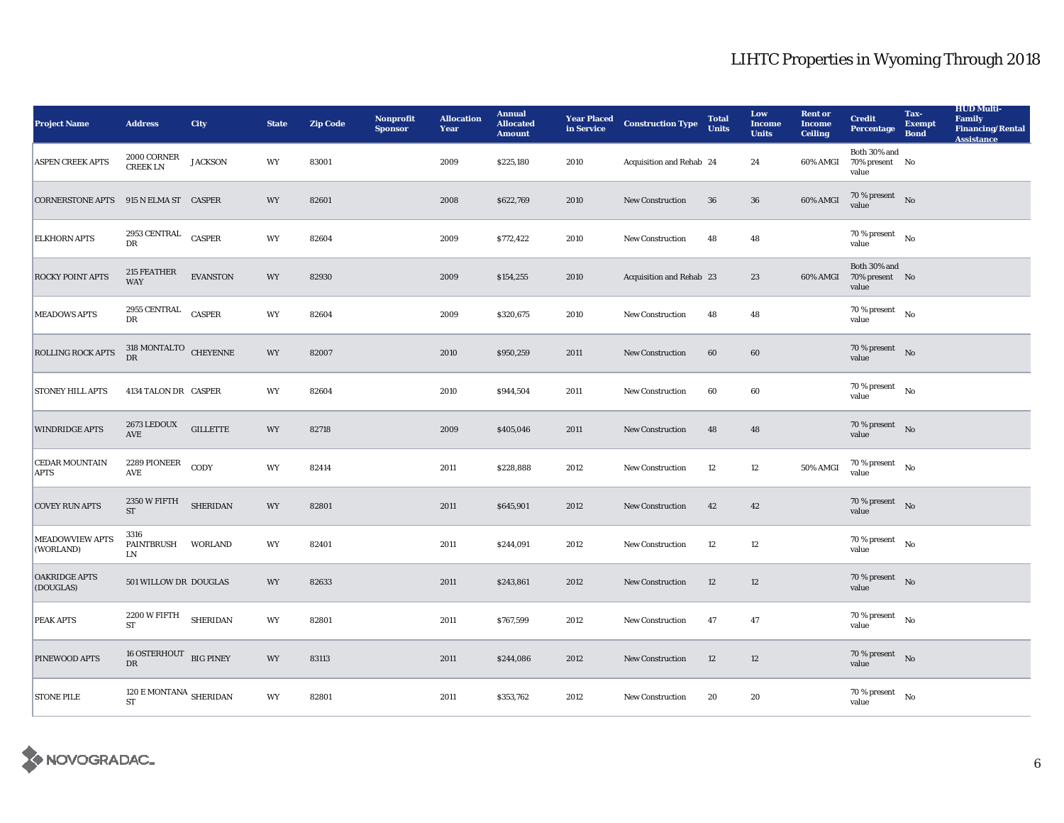| <b>Project Name</b>                  | <b>Address</b>                                   | <b>City</b>     | <b>State</b> | <b>Zip Code</b> | Nonprofit<br><b>Sponsor</b> | <b>Allocation</b><br><b>Year</b> | <b>Annual</b><br><b>Allocated</b><br><b>Amount</b> |      | <b>Year Placed Construction Type</b><br>in Service <b>Construction</b> Type | <b>Total</b><br><b>Units</b> | Low<br><b>Income</b><br><b>Units</b> | <b>Rent or</b><br><b>Income</b><br><b>Ceiling</b> | <b>Credit</b><br>Percentage                      | Tax-<br><b>Exempt</b><br><b>Bond</b> | <b>HUD Multi-</b><br><b>Family</b><br><b>Financing/Rental</b><br><b>Assistance</b> |
|--------------------------------------|--------------------------------------------------|-----------------|--------------|-----------------|-----------------------------|----------------------------------|----------------------------------------------------|------|-----------------------------------------------------------------------------|------------------------------|--------------------------------------|---------------------------------------------------|--------------------------------------------------|--------------------------------------|------------------------------------------------------------------------------------|
| <b>ASPEN CREEK APTS</b>              | $2000 \, \mbox{CORNER}$<br><b>CREEKLN</b>        | <b>JACKSON</b>  | WY           | 83001           |                             | 2009                             | \$225,180                                          | 2010 | Acquisition and Rehab 24                                                    |                              | 24                                   |                                                   | Both 30% and<br>60% AMGI 70% present No<br>value |                                      |                                                                                    |
| <b>CORNERSTONE APTS</b>              | 915 N ELMA ST CASPER                             |                 | <b>WY</b>    | 82601           |                             | 2008                             | \$622,769                                          | 2010 | <b>New Construction</b>                                                     | 36                           | 36                                   | 60% AMGI                                          | $70\,\%$ present $$\rm{No}$$ value               |                                      |                                                                                    |
| <b>ELKHORN APTS</b>                  | 2953 CENTRAL CASPER<br>DR                        |                 | WY           | 82604           |                             | 2009                             | \$772,422                                          | 2010 | New Construction                                                            | 48                           | 48                                   |                                                   | 70 % present $N_0$<br>value                      |                                      |                                                                                    |
| <b>ROCKY POINT APTS</b>              | 215 FEATHER<br><b>WAY</b>                        | <b>EVANSTON</b> | WY           | 82930           |                             | 2009                             | \$154,255                                          | 2010 | Acquisition and Rehab 23                                                    |                              | 23                                   |                                                   | Both 30% and<br>60% AMGI 70% present No<br>value |                                      |                                                                                    |
| <b>MEADOWS APTS</b>                  | 2955 CENTRAL CASPER<br>DR                        |                 | WY           | 82604           |                             | 2009                             | \$320,675                                          | 2010 | <b>New Construction</b>                                                     | 48                           | 48                                   |                                                   | $70\%$ present No<br>value                       |                                      |                                                                                    |
| <b>ROLLING ROCK APTS</b>             | $\frac{318}{\text{D}\text{R}}$ MONTALTO CHEYENNE |                 | WY           | 82007           |                             | 2010                             | \$950,259                                          | 2011 | <b>New Construction</b>                                                     | 60                           | 60                                   |                                                   | $70\,\%$ present $$$ No value                    |                                      |                                                                                    |
| <b>STONEY HILL APTS</b>              | 4134 TALON DR CASPER                             |                 | WY           | 82604           |                             | 2010                             | \$944,504                                          | 2011 | New Construction                                                            | 60                           | 60                                   |                                                   | $70\%$ present No<br>value                       |                                      |                                                                                    |
| <b>WINDRIDGE APTS</b>                | 2673 LEDOUX<br><b>AVE</b>                        | <b>GILLETTE</b> | WY           | 82718           |                             | 2009                             | \$405,046                                          | 2011 | <b>New Construction</b>                                                     | 48                           | 48                                   |                                                   | $70\%$ present No<br>value                       |                                      |                                                                                    |
| <b>CEDAR MOUNTAIN</b><br><b>APTS</b> | 2289 PIONEER<br>AVE                              | CODY            | WY           | 82414           |                             | 2011                             | \$228,888                                          | 2012 | New Construction                                                            | 12                           | 12                                   | 50% AMGI                                          | $70\,\%$ present $$\rm{No}$$ value               |                                      |                                                                                    |
| <b>COVEY RUN APTS</b>                | 2350 W FIFTH SHERIDAN<br>ST                      |                 | WY           | 82801           |                             | 2011                             | \$645,901                                          | 2012 | <b>New Construction</b>                                                     | 42                           | 42                                   |                                                   | 70 % present $\qquad N$ o<br>value               |                                      |                                                                                    |
| <b>MEADOWVIEW APTS</b><br>(WORLAND)  | 3316<br>PAINTBRUSH WORLAND<br>LN                 |                 | WY           | 82401           |                             | 2011                             | \$244,091                                          | 2012 | <b>New Construction</b>                                                     | 12                           | 12                                   |                                                   | $70\,\%$ present $\quad$ No<br>value             |                                      |                                                                                    |
| <b>OAKRIDGE APTS</b><br>(DOUGLAS)    | 501 WILLOW DR DOUGLAS                            |                 | <b>WY</b>    | 82633           |                             | 2011                             | \$243,861                                          | 2012 | <b>New Construction</b>                                                     | 12                           | 12                                   |                                                   | $70\%$ present No<br>value                       |                                      |                                                                                    |
| PEAK APTS                            | $2200\,\mathrm{W}$ FIFTH SHERIDAN<br><b>ST</b>   |                 | WY           | 82801           |                             | 2011                             | \$767,599                                          | 2012 | New Construction                                                            | 47                           | 47                                   |                                                   | $70\%$ present No<br>value                       |                                      |                                                                                    |
| <b>PINEWOOD APTS</b>                 | 16 OSTERHOUT BIG PINEY<br>DR                     |                 | WY           | 83113           |                             | 2011                             | \$244,086                                          | 2012 | New Construction                                                            | 12                           | $12\,$                               |                                                   | 70 % present No<br>value                         |                                      |                                                                                    |
| <b>STONE PILE</b>                    | $120$ E MONTANA $\,$ SHERIDAN $\,$<br><b>ST</b>  |                 | WY           | 82801           |                             | 2011                             | \$353,762                                          | 2012 | <b>New Construction</b>                                                     | 20                           | 20                                   |                                                   | $70\,\%$ present $\quad$ No<br>value             |                                      |                                                                                    |

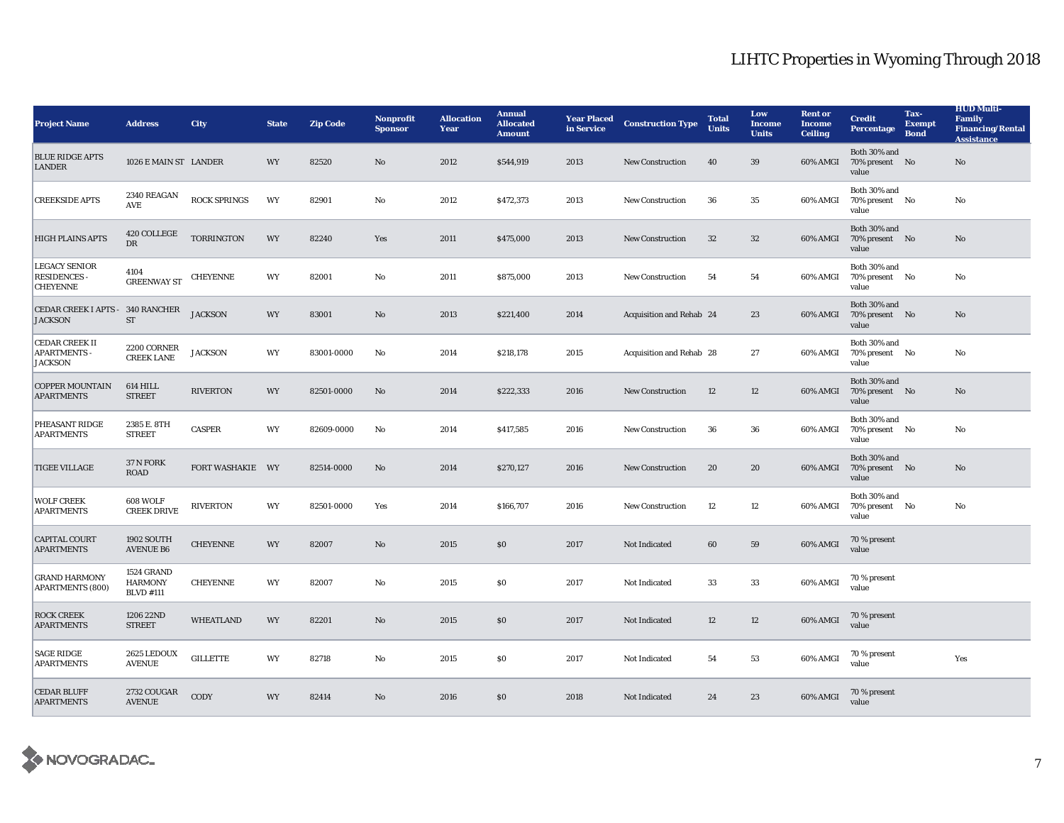| <b>Project Name</b>                                            | <b>Address</b>                                   | <b>City</b>         | <b>State</b> | <b>Zip Code</b> | <b>Nonprofit</b><br><b>Sponsor</b> | <b>Allocation</b><br><b>Year</b> | <b>Annual</b><br><b>Allocated</b><br><b>Amount</b> | <b>Year Placed</b><br>in Service | <b>Construction Type</b> | <b>Total</b><br><b>Units</b> | Low<br><b>Income</b><br><b>Units</b> | <b>Rent or</b><br><b>Income</b><br><b>Ceiling</b> | <b>Credit</b><br>Percentage             | Tax-<br><b>Exempt</b><br><b>Bond</b> | <b>HUD Multi-</b><br><b>Family</b><br><b>Financing/Rental</b><br><b>Assistance</b> |
|----------------------------------------------------------------|--------------------------------------------------|---------------------|--------------|-----------------|------------------------------------|----------------------------------|----------------------------------------------------|----------------------------------|--------------------------|------------------------------|--------------------------------------|---------------------------------------------------|-----------------------------------------|--------------------------------------|------------------------------------------------------------------------------------|
| <b>BLUE RIDGE APTS</b><br><b>LANDER</b>                        | 1026 E MAIN ST LANDER                            |                     | WY           | 82520           | No                                 | 2012                             | \$544,919                                          | 2013                             | <b>New Construction</b>  | 40                           | 39                                   | 60% AMGI                                          | Both 30% and<br>70% present No<br>value |                                      | No                                                                                 |
| <b>CREEKSIDE APTS</b>                                          | 2340 REAGAN<br>AVE                               | <b>ROCK SPRINGS</b> | WY           | 82901           | No                                 | 2012                             | \$472,373                                          | 2013                             | New Construction         | 36                           | 35                                   | 60% AMGI                                          | Both 30% and<br>70% present No<br>value |                                      | No                                                                                 |
| <b>HIGH PLAINS APTS</b>                                        | 420 COLLEGE<br>DR                                | <b>TORRINGTON</b>   | WY           | 82240           | Yes                                | 2011                             | \$475,000                                          | 2013                             | <b>New Construction</b>  | 32                           | $32\,$                               | 60% AMGI                                          | Both 30% and<br>70% present No<br>value |                                      | $\mathbf{No}$                                                                      |
| <b>LEGACY SENIOR</b><br>RESIDENCES -<br><b>CHEYENNE</b>        | 4104<br><b>GREENWAY ST</b>                       | <b>CHEYENNE</b>     | WY           | 82001           | $\rm No$                           | 2011                             | \$875,000                                          | 2013                             | New Construction         | 54                           | 54                                   | 60% AMGI                                          | Both 30% and<br>70% present No<br>value |                                      | No                                                                                 |
| CEDAR CREEK I APTS - 340 RANCHER<br><b>JACKSON</b>             | ST                                               | <b>JACKSON</b>      | WY           | 83001           | No                                 | 2013                             | \$221,400                                          | 2014                             | Acquisition and Rehab 24 |                              | 23                                   | 60% AMGI                                          | Both 30% and<br>70% present No<br>value |                                      | No                                                                                 |
| <b>CEDAR CREEK II</b><br><b>APARTMENTS -</b><br><b>JACKSON</b> | 2200 CORNER<br><b>CREEK LANE</b>                 | <b>JACKSON</b>      | WY           | 83001-0000      | No                                 | 2014                             | \$218,178                                          | 2015                             | Acquisition and Rehab 28 |                              | 27                                   | 60% AMGI                                          | Both 30% and<br>70% present No<br>value |                                      | No                                                                                 |
| <b>COPPER MOUNTAIN</b><br><b>APARTMENTS</b>                    | 614 HILL<br><b>STREET</b>                        | <b>RIVERTON</b>     | WY           | 82501-0000      | No                                 | 2014                             | \$222,333                                          | 2016                             | <b>New Construction</b>  | 12                           | 12                                   | 60% AMGI                                          | Both 30% and<br>70% present No<br>value |                                      | No                                                                                 |
| PHEASANT RIDGE<br><b>APARTMENTS</b>                            | 2385 E. 8TH<br><b>STREET</b>                     | <b>CASPER</b>       | WY           | 82609-0000      | No                                 | 2014                             | \$417,585                                          | 2016                             | <b>New Construction</b>  | 36                           | 36                                   | 60% AMGI                                          | Both 30% and<br>70% present No<br>value |                                      | No                                                                                 |
| <b>TIGEE VILLAGE</b>                                           | 37 N FORK<br><b>ROAD</b>                         | FORT WASHAKIE WY    |              | 82514-0000      | No                                 | 2014                             | \$270,127                                          | 2016                             | New Construction         | 20                           | 20                                   | 60% AMGI                                          | Both 30% and<br>70% present No<br>value |                                      | No                                                                                 |
| <b>WOLF CREEK</b><br><b>APARTMENTS</b>                         | 608 WOLF<br><b>CREEK DRIVE</b>                   | <b>RIVERTON</b>     | WY           | 82501-0000      | Yes                                | 2014                             | \$166,707                                          | 2016                             | <b>New Construction</b>  | 12                           | 12                                   | 60% AMGI                                          | Both 30% and<br>70% present No<br>value |                                      | No                                                                                 |
| <b>CAPITAL COURT</b><br><b>APARTMENTS</b>                      | 1902 SOUTH<br><b>AVENUE B6</b>                   | <b>CHEYENNE</b>     | WY           | 82007           | No                                 | 2015                             | \$0                                                | 2017                             | Not Indicated            | 60                           | 59                                   | 60% AMGI                                          | 70 % present<br>value                   |                                      |                                                                                    |
| <b>GRAND HARMONY</b><br><b>APARTMENTS (800)</b>                | 1524 GRAND<br><b>HARMONY</b><br><b>BLVD</b> #111 | <b>CHEYENNE</b>     | WY           | 82007           | No                                 | 2015                             | S <sub>0</sub>                                     | 2017                             | Not Indicated            | 33                           | 33                                   | 60% AMGI                                          | 70 % present<br>value                   |                                      |                                                                                    |
| <b>ROCK CREEK</b><br><b>APARTMENTS</b>                         | 1206 22ND<br><b>STREET</b>                       | <b>WHEATLAND</b>    | WY           | 82201           | $\mathbf{N}\mathbf{o}$             | 2015                             | S <sub>0</sub>                                     | 2017                             | Not Indicated            | 12                           | 12                                   | 60% AMGI                                          | 70 % present<br>value                   |                                      |                                                                                    |
| <b>SAGE RIDGE</b><br><b>APARTMENTS</b>                         | 2625 LEDOUX<br><b>AVENUE</b>                     | <b>GILLETTE</b>     | WY           | 82718           | No                                 | 2015                             | S <sub>0</sub>                                     | 2017                             | Not Indicated            | 54                           | 53                                   | 60% AMGI                                          | 70 % present<br>value                   |                                      | Yes                                                                                |
| <b>CEDAR BLUFF</b><br><b>APARTMENTS</b>                        | 2732 COUGAR<br><b>AVENUE</b>                     | CODY                | <b>WY</b>    | 82414           | No                                 | 2016                             | \$0                                                | 2018                             | Not Indicated            | 24                           | 23                                   | 60% AMGI                                          | 70 % present<br>value                   |                                      |                                                                                    |